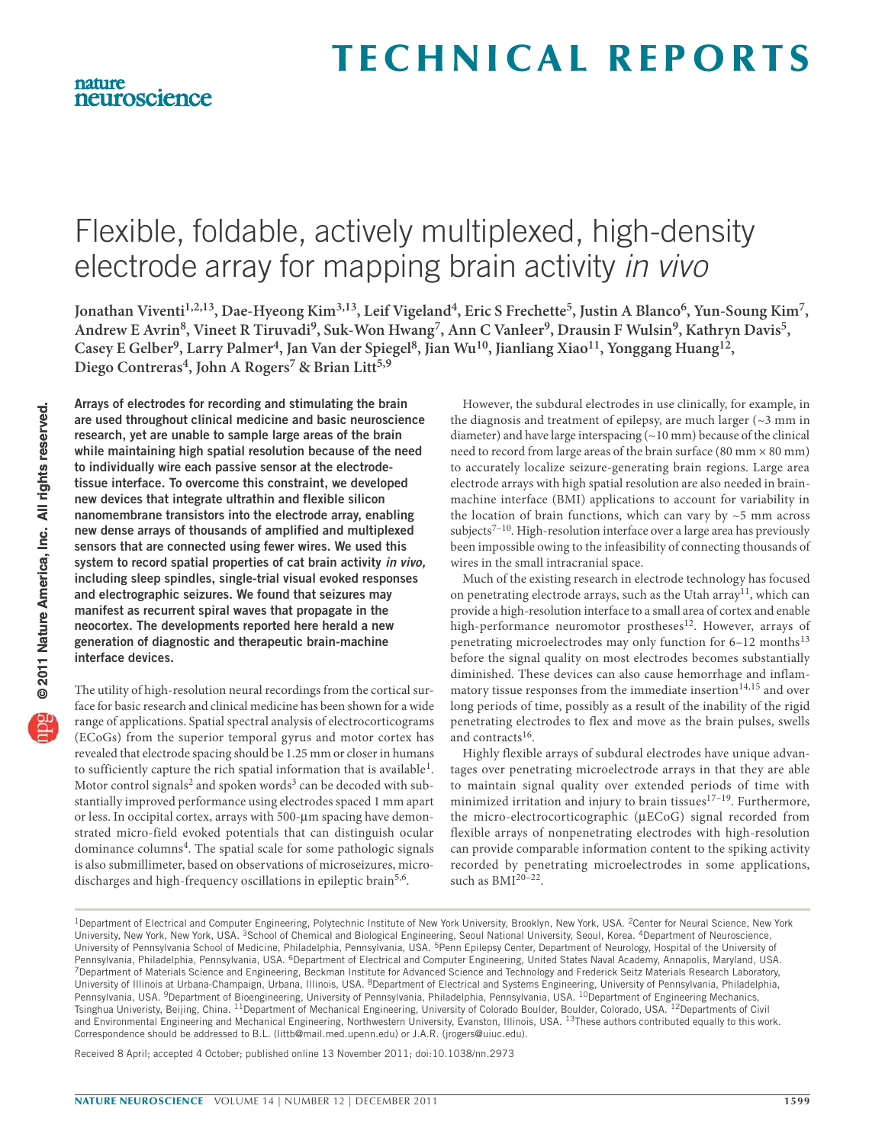# Flexible, foldable, actively multiplexed, high-density electrode array for mapping brain activity in vivo

Jonathan Viventi<sup>1,2,13</sup>, Dae-Hyeong Kim<sup>3,13</sup>, Leif Vigeland<sup>4</sup>, Eric S Frechette<sup>5</sup>, Justin A Blanco<sup>6</sup>, Yun-Soung Kim<sup>7</sup>, **Andrew E Avrin8, Vineet R Tiruvadi9, Suk-Won Hwang7, Ann C Vanleer9, Drausin F Wulsin9, Kathryn Davis5, Casey E Gelber9, Larry Palmer4, Jan Van der Spiegel8, Jian Wu10, Jianliang Xiao11, Yonggang Huang12,**  Diego Contreras<sup>4</sup>, John A Rogers<sup>7</sup> & Brian Litt<sup>5,9</sup>

**Arrays of electrodes for recording and stimulating the brain are used throughout clinical medicine and basic neuroscience research, yet are unable to sample large areas of the brain while maintaining high spatial resolution because of the need to individually wire each passive sensor at the electrodetissue interface. To overcome this constraint, we developed new devices that integrate ultrathin and flexible silicon nanomembrane transistors into the electrode array, enabling new dense arrays of thousands of amplified and multiplexed sensors that are connected using fewer wires. We used this system to record spatial properties of cat brain activity** *in vivo,* **including sleep spindles, single-trial visual evoked responses and electrographic seizures. We found that seizures may manifest as recurrent spiral waves that propagate in the neocortex. The developments reported here herald a new generation of diagnostic and therapeutic brain-machine interface devices.**

The utility of high-resolution neural recordings from the cortical surface for basic research and clinical medicine has been shown for a wide range of applications. Spatial spectral analysis of electrocorticograms (ECoGs) from the superior temporal gyrus and motor cortex has revealed that electrode spacing should be 1.25 mm or closer in humans to sufficiently capture the rich spatial information that is available<sup>1</sup>. Motor control signals<sup>2</sup> and spoken words<sup>3</sup> can be decoded with substantially improved performance using electrodes spaced 1 mm apart or less. In occipital cortex, arrays with 500-µm spacing have demonstrated micro-field evoked potentials that can distinguish ocular dominance columns<sup>4</sup>. The spatial scale for some pathologic signals is also submillimeter, based on observations of microseizures, microdischarges and high-frequency oscillations in epileptic brain<sup>5,6</sup>.

However, the subdural electrodes in use clinically, for example, in the diagnosis and treatment of epilepsy, are much larger (~3 mm in diameter) and have large interspacing (~10 mm) because of the clinical need to record from large areas of the brain surface  $(80 \text{ mm} \times 80 \text{ mm})$ to accurately localize seizure-generating brain regions. Large area electrode arrays with high spatial resolution are also needed in brainmachine interface (BMI) applications to account for variability in the location of brain functions, which can vary by  $\sim$  5 mm across subjects<sup>7-10</sup>. High-resolution interface over a large area has previously been impossible owing to the infeasibility of connecting thousands of wires in the small intracranial space.

Much of the existing research in electrode technology has focused on penetrating electrode arrays, such as the Utah array<sup>11</sup>, which can provide a high-resolution interface to a small area of cortex and enable high-performance neuromotor prostheses<sup>12</sup>. However, arrays of penetrating microelectrodes may only function for 6-12 months<sup>13</sup> before the signal quality on most electrodes becomes substantially diminished. These devices can also cause hemorrhage and inflammatory tissue responses from the immediate insertion $14,15$  and over long periods of time, possibly as a result of the inability of the rigid penetrating electrodes to flex and move as the brain pulses, swells and contracts<sup>16</sup>.

Highly flexible arrays of subdural electrodes have unique advantages over penetrating microelectrode arrays in that they are able to maintain signal quality over extended periods of time with minimized irritation and injury to brain tissues $17-19$ . Furthermore, the micro-electrocorticographic (µECoG) signal recorded from flexible arrays of nonpenetrating electrodes with high-resolution can provide comparable information content to the spiking activity recorded by penetrating microelectrodes in some applications, such as BMI<sup>20-22</sup>.

Received 8 April; accepted 4 October; published online 13 November 2011; doi:10.1038/nn.2973

nature

neuroscience

<sup>&</sup>lt;sup>1</sup>Department of Electrical and Computer Engineering, Polytechnic Institute of New York University, Brooklyn, New York, USA. <sup>2</sup>Center for Neural Science, New York University, New York, New York, USA. 3School of Chemical and Biological Engineering, Seoul National University, Seoul, Korea. 4Department of Neuroscience, University of Pennsylvania School of Medicine, Philadelphia, Pennsylvania, USA. 5Penn Epilepsy Center, Department of Neurology, Hospital of the University of Pennsylvania, Philadelphia, Pennsylvania, USA. <sup>6</sup>Department of Electrical and Computer Engineering, United States Naval Academy, Annapolis, Maryland, USA.<br><sup>7</sup>Department of Materials Science and Engineering, Beckman Instit University of Illinois at Urbana-Champaign, Urbana, Illinois, USA. <sup>8</sup>Department of Electrical and Systems Engineering, University of Pennsylvania, Philadelphia, Pennsylvania, USA. <sup>9</sup>Department of Bioengineering, University of Pennsylvania, Philadelphia, Pennsylvania, USA. <sup>10</sup>Department of Engineering Mechanics, Tsinghua Univeristy, Beijing, China. <sup>11</sup>Department of Mechanical Engineering, University of Colorado Boulder, Boulder, Colorado, USA. <sup>12</sup>Departments of Civil and Environmental Engineering and Mechanical Engineering, Northwestern University, Evanston, Illinois, USA. <sup>13</sup>These authors contributed equally to this work. Correspondence should be addressed to B.L. (littb@mail.med.upenn.edu) or J.A.R. (jrogers@uiuc.edu).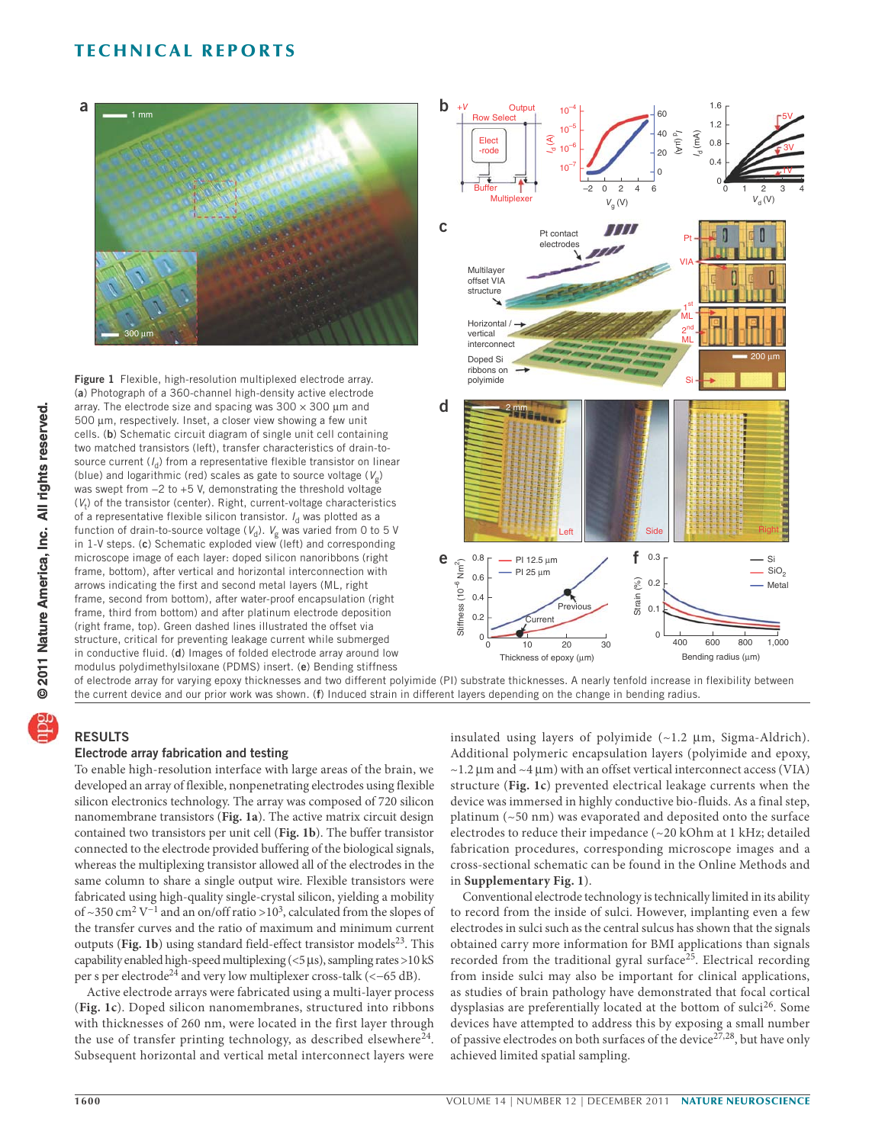

**Figure 1** Flexible, high-resolution multiplexed electrode array. (**a**) Photograph of a 360-channel high-density active electrode array. The electrode size and spacing was  $300 \times 300$  µm and 500 um, respectively. Inset, a closer view showing a few unit cells. (**b**) Schematic circuit diagram of single unit cell containing two matched transistors (left), transfer characteristics of drain-tosource current  $(I_{d})$  from a representative flexible transistor on linear (blue) and logarithmic (red) scales as gate to source voltage ( $V_{\sigma}$ ) was swept from −2 to +5 V, demonstrating the threshold voltage  $(V_t)$  of the transistor (center). Right, current-voltage characteristics of a representative flexible silicon transistor.  $I_d$  was plotted as a function of drain-to-source voltage ( $V_d$ ).  $V_g$  was varied from 0 to 5 V in 1-V steps. (**c**) Schematic exploded view (left) and corresponding microscope image of each layer: doped silicon nanoribbons (right frame, bottom), after vertical and horizontal interconnection with arrows indicating the first and second metal layers (ML, right frame, second from bottom), after water-proof encapsulation (right frame, third from bottom) and after platinum electrode deposition (right frame, top). Green dashed lines illustrated the offset via structure, critical for preventing leakage current while submerged in conductive fluid. (**d**) Images of folded electrode array around low modulus polydimethylsiloxane (PDMS) insert. (**e**) Bending stiffness



of electrode array for varying epoxy thicknesses and two different polyimide (PI) substrate thicknesses. A nearly tenfold increase in flexibility between the current device and our prior work was shown. (**f**) Induced strain in different layers depending on the change in bending radius.

## **RESULTS**

## **Electrode array fabrication and testing**

To enable high-resolution interface with large areas of the brain, we developed an array of flexible, nonpenetrating electrodes using flexible silicon electronics technology. The array was composed of 720 silicon nanomembrane transistors (**Fig. 1a**). The active matrix circuit design contained two transistors per unit cell (**Fig. 1b**). The buffer transistor connected to the electrode provided buffering of the biological signals, whereas the multiplexing transistor allowed all of the electrodes in the same column to share a single output wire. Flexible transistors were fabricated using high-quality single-crystal silicon, yielding a mobility of ~350 cm<sup>2</sup> V<sup>-1</sup> and an on/off ratio >10<sup>3</sup>, calculated from the slopes of the transfer curves and the ratio of maximum and minimum current outputs (Fig. 1b) using standard field-effect transistor models<sup>23</sup>. This capability enabled high-speed multiplexing  $(< 5 \,\mu s$ ), sampling rates >10 kS per s per electrode<sup>24</sup> and very low multiplexer cross-talk (<-65 dB).

Active electrode arrays were fabricated using a multi-layer process (**Fig. 1c**). Doped silicon nanomembranes, structured into ribbons with thicknesses of 260 nm, were located in the first layer through the use of transfer printing technology, as described elsewhere $24$ . Subsequent horizontal and vertical metal interconnect layers were insulated using layers of polyimide  $(\sim1.2 \mu m,$  Sigma-Aldrich). Additional polymeric encapsulation layers (polyimide and epoxy,  $\sim$ 1.2  $\mu$ m and  $\sim$ 4  $\mu$ m) with an offset vertical interconnect access (VIA) structure (**Fig. 1c**) prevented electrical leakage currents when the device was immersed in highly conductive bio-fluids. As a final step, platinum (~50 nm) was evaporated and deposited onto the surface electrodes to reduce their impedance (~20 kOhm at 1 kHz; detailed fabrication procedures, corresponding microscope images and a cross-sectional schematic can be found in the Online Methods and in **Supplementary Fig. 1**).

Conventional electrode technology is technically limited in its ability to record from the inside of sulci. However, implanting even a few electrodes in sulci such as the central sulcus has shown that the signals obtained carry more information for BMI applications than signals recorded from the traditional gyral surface<sup>25</sup>. Electrical recording from inside sulci may also be important for clinical applications, as studies of brain pathology have demonstrated that focal cortical dysplasias are preferentially located at the bottom of sulci<sup>26</sup>. Some devices have attempted to address this by exposing a small number of passive electrodes on both surfaces of the device<sup>27,28</sup>, but have only achieved limited spatial sampling.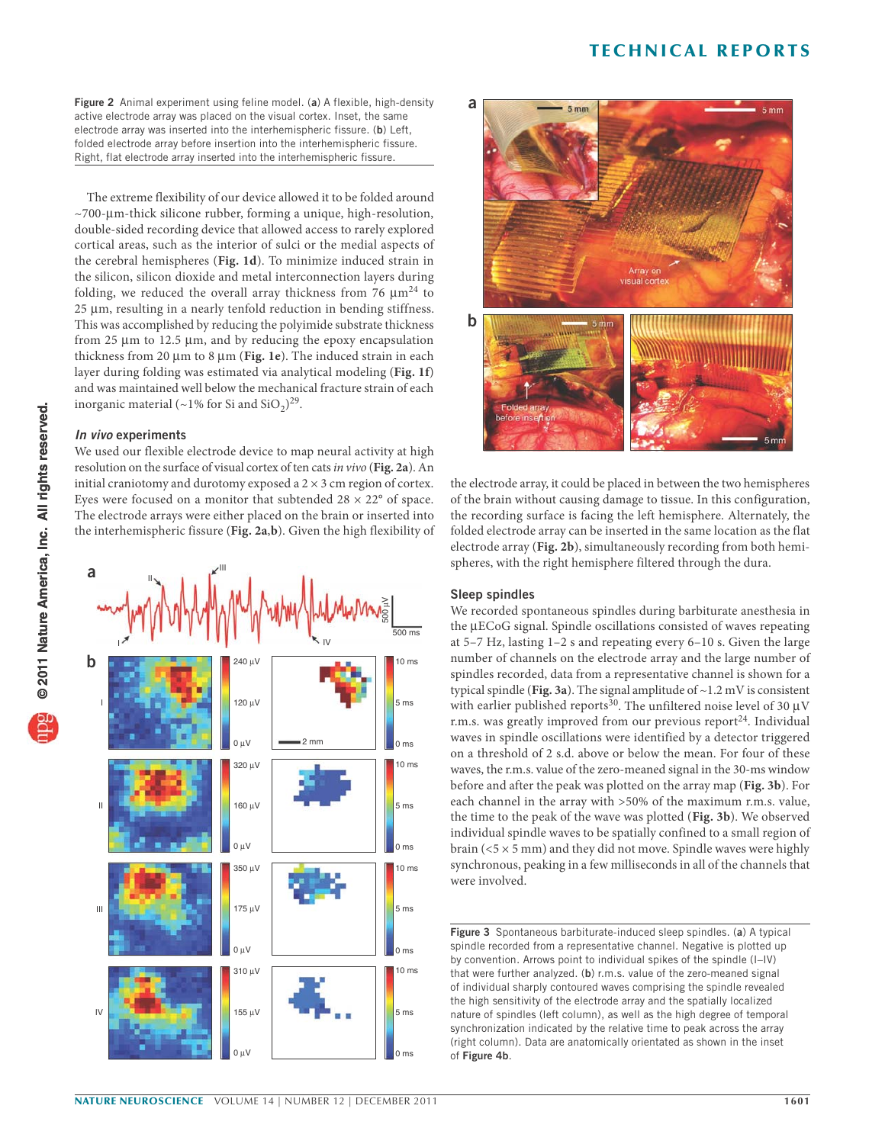**Figure 2** Animal experiment using feline model. (**a**) A flexible, high-density active electrode array was placed on the visual cortex. Inset, the same electrode array was inserted into the interhemispheric fissure. (**b**) Left, folded electrode array before insertion into the interhemispheric fissure. Right, flat electrode array inserted into the interhemispheric fissure.

The extreme flexibility of our device allowed it to be folded around  $~\sim$ 700- $~\mu$ m-thick silicone rubber, forming a unique, high-resolution, double-sided recording device that allowed access to rarely explored cortical areas, such as the interior of sulci or the medial aspects of the cerebral hemispheres (**Fig. 1d**). To minimize induced strain in the silicon, silicon dioxide and metal interconnection layers during folding, we reduced the overall array thickness from 76  $\mu$ m<sup>24</sup> to  $25 \mu m$ , resulting in a nearly tenfold reduction in bending stiffness. This was accomplished by reducing the polyimide substrate thickness from 25  $\mu$ m to 12.5  $\mu$ m, and by reducing the epoxy encapsulation thickness from 20 µm to 8 µm (Fig. 1e). The induced strain in each layer during folding was estimated via analytical modeling (**Fig. 1f**) and was maintained well below the mechanical fracture strain of each inorganic material (~1% for Si and  $SiO<sub>2</sub>$ )<sup>29</sup>.

#### *In vivo* **experiments**

We used our flexible electrode device to map neural activity at high resolution on the surface of visual cortex of ten cats in vivo (**Fig. 2a**). An initial craniotomy and durotomy exposed a  $2 \times 3$  cm region of cortex. Eyes were focused on a monitor that subtended  $28 \times 22^{\circ}$  of space. The electrode arrays were either placed on the brain or inserted into the interhemispheric fissure (**Fig. 2a**,**b**). Given the high flexibility of





the electrode array, it could be placed in between the two hemispheres of the brain without causing damage to tissue. In this configuration, the recording surface is facing the left hemisphere. Alternately, the folded electrode array can be inserted in the same location as the flat electrode array (**Fig. 2b**), simultaneously recording from both hemispheres, with the right hemisphere filtered through the dura.

## **Sleep spindles**

We recorded spontaneous spindles during barbiturate anesthesia in the µECoG signal. Spindle oscillations consisted of waves repeating at 5–7 Hz, lasting 1–2 s and repeating every 6–10 s. Given the large number of channels on the electrode array and the large number of spindles recorded, data from a representative channel is shown for a typical spindle (**Fig. 3a**). The signal amplitude of ~1.2 mV is consistent with earlier published reports<sup>30</sup>. The unfiltered noise level of 30  $\mu$ V r.m.s. was greatly improved from our previous report<sup>24</sup>. Individual waves in spindle oscillations were identified by a detector triggered on a threshold of 2 s.d. above or below the mean. For four of these waves, the r.m.s. value of the zero-meaned signal in the 30-ms window before and after the peak was plotted on the array map (**Fig. 3b**). For each channel in the array with >50% of the maximum r.m.s. value, the time to the peak of the wave was plotted (**Fig. 3b**). We observed individual spindle waves to be spatially confined to a small region of brain ( $5 \times 5$  mm) and they did not move. Spindle waves were highly synchronous, peaking in a few milliseconds in all of the channels that were involved.

**Figure 3** Spontaneous barbiturate-induced sleep spindles. (**a**) A typical spindle recorded from a representative channel. Negative is plotted up by convention. Arrows point to individual spikes of the spindle (I–IV) that were further analyzed. (**b**) r.m.s. value of the zero-meaned signal of individual sharply contoured waves comprising the spindle revealed the high sensitivity of the electrode array and the spatially localized nature of spindles (left column), as well as the high degree of temporal synchronization indicated by the relative time to peak across the array (right column). Data are anatomically orientated as shown in the inset of **Figure 4b**.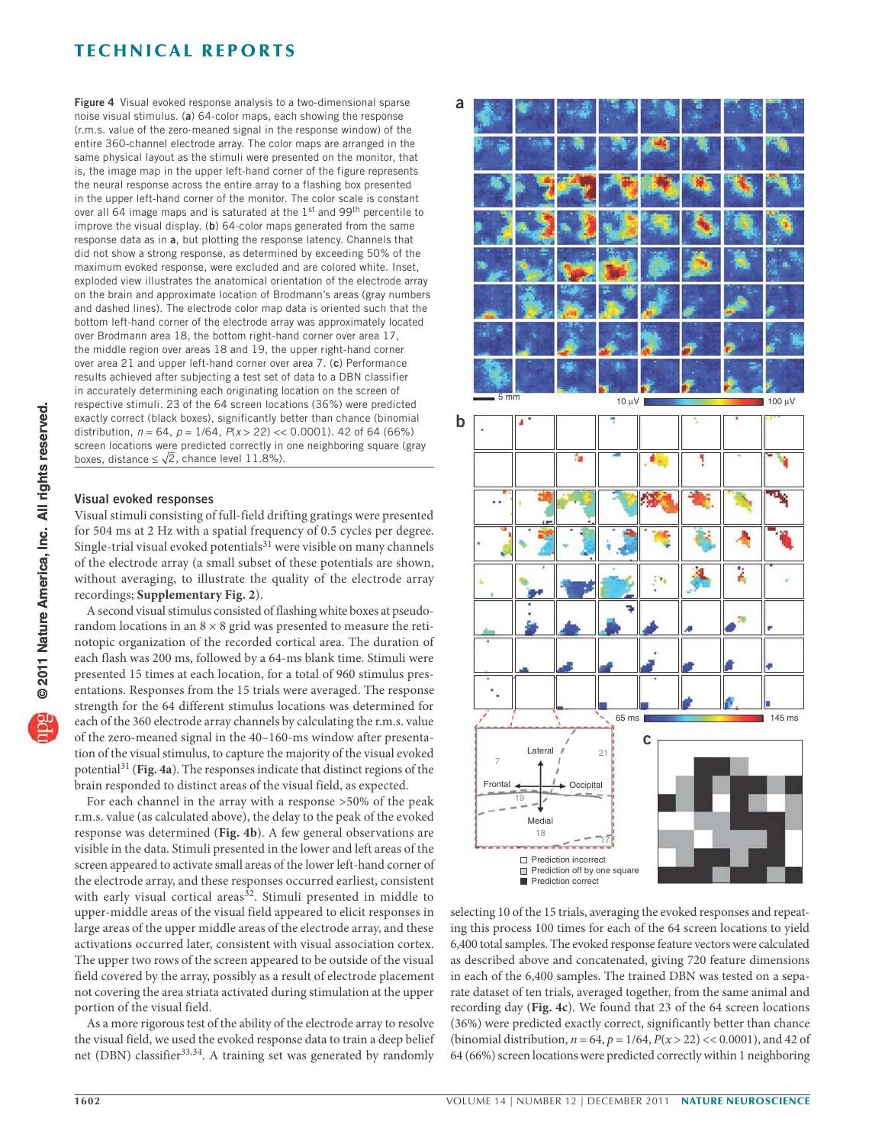**Figure 4** Visual evoked response analysis to a two-dimensional sparse noise visual stimulus. (**a**) 64-color maps, each showing the response (r.m.s. value of the zero-meaned signal in the response window) of the entire 360-channel electrode array. The color maps are arranged in the same physical layout as the stimuli were presented on the monitor, that is, the image map in the upper left-hand corner of the figure represents the neural response across the entire array to a flashing box presented in the upper left-hand corner of the monitor. The color scale is constant over all 64 image maps and is saturated at the 1<sup>st</sup> and 99<sup>th</sup> percentile to improve the visual display. (**b**) 64-color maps generated from the same response data as in **a**, but plotting the response latency. Channels that did not show a strong response, as determined by exceeding 50% of the maximum evoked response, were excluded and are colored white. Inset, exploded view illustrates the anatomical orientation of the electrode array on the brain and approximate location of Brodmann's areas (gray numbers and dashed lines). The electrode color map data is oriented such that the bottom left-hand corner of the electrode array was approximately located over Brodmann area 18, the bottom right-hand corner over area 17, the middle region over areas 18 and 19, the upper right-hand corner over area 21 and upper left-hand corner over area 7. (**c**) Performance results achieved after subjecting a test set of data to a DBN classifier in accurately determining each originating location on the screen of respective stimuli. 23 of the 64 screen locations (36%) were predicted exactly correct (black boxes), significantly better than chance (binomial distribution,  $n = 64$ ,  $p = 1/64$ ,  $P(x > 22) \ll 0.0001$ ). 42 of 64 (66%) screen locations were predicted correctly in one neighboring square (gray boxes, distance  $\leq \sqrt{2}$ , chance level 11.8%).

#### **Visual evoked responses**

Visual stimuli consisting of full-field drifting gratings were presented for 504 ms at 2 Hz with a spatial frequency of 0.5 cycles per degree. Single-trial visual evoked potentials $31$  were visible on many channels of the electrode array (a small subset of these potentials are shown, without averaging, to illustrate the quality of the electrode array recordings; **Supplementary Fig. 2**).

A second visual stimulus consisted of flashing white boxes at pseudorandom locations in an  $8 \times 8$  grid was presented to measure the retinotopic organization of the recorded cortical area. The duration of each flash was 200 ms, followed by a 64-ms blank time. Stimuli were presented 15 times at each location, for a total of 960 stimulus presentations. Responses from the 15 trials were averaged. The response strength for the 64 different stimulus locations was determined for each of the 360 electrode array channels by calculating the r.m.s. value of the zero-meaned signal in the 40–160-ms window after presentation of the visual stimulus, to capture the majority of the visual evoked potential31 (**Fig. 4a**). The responses indicate that distinct regions of the brain responded to distinct areas of the visual field, as expected.

For each channel in the array with a response >50% of the peak r.m.s. value (as calculated above), the delay to the peak of the evoked response was determined (**Fig. 4b**). A few general observations are visible in the data. Stimuli presented in the lower and left areas of the screen appeared to activate small areas of the lower left-hand corner of the electrode array, and these responses occurred earliest, consistent with early visual cortical areas<sup>32</sup>. Stimuli presented in middle to upper-middle areas of the visual field appeared to elicit responses in large areas of the upper middle areas of the electrode array, and these activations occurred later, consistent with visual association cortex. The upper two rows of the screen appeared to be outside of the visual field covered by the array, possibly as a result of electrode placement not covering the area striata activated during stimulation at the upper portion of the visual field.

As a more rigorous test of the ability of the electrode array to resolve the visual field, we used the evoked response data to train a deep belief net (DBN) classifier<sup>33,34</sup>. A training set was generated by randomly



selecting 10 of the 15 trials, averaging the evoked responses and repeating this process 100 times for each of the 64 screen locations to yield 6,400 total samples. The evoked response feature vectors were calculated as described above and concatenated, giving 720 feature dimensions in each of the 6,400 samples. The trained DBN was tested on a separate dataset of ten trials, averaged together, from the same animal and recording day (**Fig. 4c**). We found that 23 of the 64 screen locations (36%) were predicted exactly correct, significantly better than chance (binomial distribution,  $n = 64$ ,  $p = 1/64$ ,  $P(x > 22) < 0.0001$ ), and 42 of 64 (66%) screen locations were predicted correctly within 1 neighboring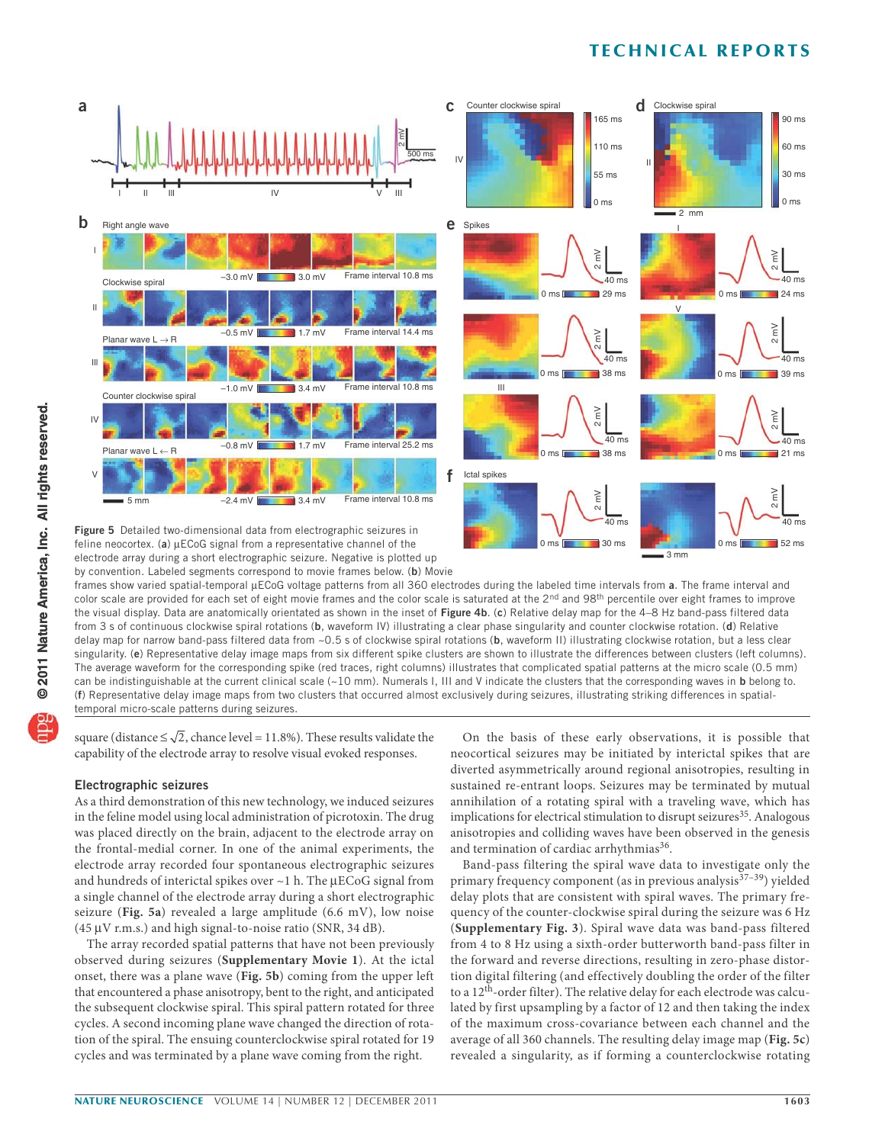

feline neocortex. (a)  $\mu$ ECoG signal from a representative channel of the electrode array during a short electrographic seizure. Negative is plotted up by convention. Labeled segments correspond to movie frames below. (**b**) Movie

frames show varied spatial-temporal µECoG voltage patterns from all 360 electrodes during the labeled time intervals from a. The frame interval and color scale are provided for each set of eight movie frames and the color scale is saturated at the  $2<sup>nd</sup>$  and  $98<sup>th</sup>$  percentile over eight frames to improve the visual display. Data are anatomically orientated as shown in the inset of **Figure 4b**. (**c**) Relative delay map for the 4–8 Hz band-pass filtered data from 3 s of continuous clockwise spiral rotations (**b**, waveform IV) illustrating a clear phase singularity and counter clockwise rotation. (**d**) Relative delay map for narrow band-pass filtered data from ~0.5 s of clockwise spiral rotations (**b**, waveform II) illustrating clockwise rotation, but a less clear singularity. (**e**) Representative delay image maps from six different spike clusters are shown to illustrate the differences between clusters (left columns). The average waveform for the corresponding spike (red traces, right columns) illustrates that complicated spatial patterns at the micro scale (0.5 mm) can be indistinguishable at the current clinical scale (~10 mm). Numerals I, III and V indicate the clusters that the corresponding waves in **b** belong to. (**f**) Representative delay image maps from two clusters that occurred almost exclusively during seizures, illustrating striking differences in spatialtemporal micro-scale patterns during seizures.

square (distance  $\leq \sqrt{2}$ , chance level = 11.8%). These results validate the capability of the electrode array to resolve visual evoked responses.

## **Electrographic seizures**

As a third demonstration of this new technology, we induced seizures in the feline model using local administration of picrotoxin. The drug was placed directly on the brain, adjacent to the electrode array on the frontal-medial corner. In one of the animal experiments, the electrode array recorded four spontaneous electrographic seizures and hundreds of interictal spikes over  $\sim$  1 h. The  $\mu$ ECoG signal from a single channel of the electrode array during a short electrographic seizure (**Fig. 5a**) revealed a large amplitude (6.6 mV), low noise (45  $\mu$ V r.m.s.) and high signal-to-noise ratio (SNR, 34 dB).

The array recorded spatial patterns that have not been previously observed during seizures (**Supplementary Movie 1**). At the ictal onset, there was a plane wave (**Fig. 5b**) coming from the upper left that encountered a phase anisotropy, bent to the right, and anticipated the subsequent clockwise spiral. This spiral pattern rotated for three cycles. A second incoming plane wave changed the direction of rotation of the spiral. The ensuing counterclockwise spiral rotated for 19 cycles and was terminated by a plane wave coming from the right.

On the basis of these early observations, it is possible that neocortical seizures may be initiated by interictal spikes that are diverted asymmetrically around regional anisotropies, resulting in sustained re-entrant loops. Seizures may be terminated by mutual annihilation of a rotating spiral with a traveling wave, which has implications for electrical stimulation to disrupt seizures<sup>35</sup>. Analogous anisotropies and colliding waves have been observed in the genesis and termination of cardiac arrhythmias<sup>36</sup>.

3 mm

Band-pass filtering the spiral wave data to investigate only the primary frequency component (as in previous analysis<sup>37-39</sup>) yielded delay plots that are consistent with spiral waves. The primary frequency of the counter-clockwise spiral during the seizure was 6 Hz (**Supplementary Fig. 3**). Spiral wave data was band-pass filtered from 4 to 8 Hz using a sixth-order butterworth band-pass filter in the forward and reverse directions, resulting in zero-phase distortion digital filtering (and effectively doubling the order of the filter to a 12th-order filter). The relative delay for each electrode was calculated by first upsampling by a factor of 12 and then taking the index of the maximum cross-covariance between each channel and the average of all 360 channels. The resulting delay image map (**Fig. 5c**) revealed a singularity, as if forming a counterclockwise rotating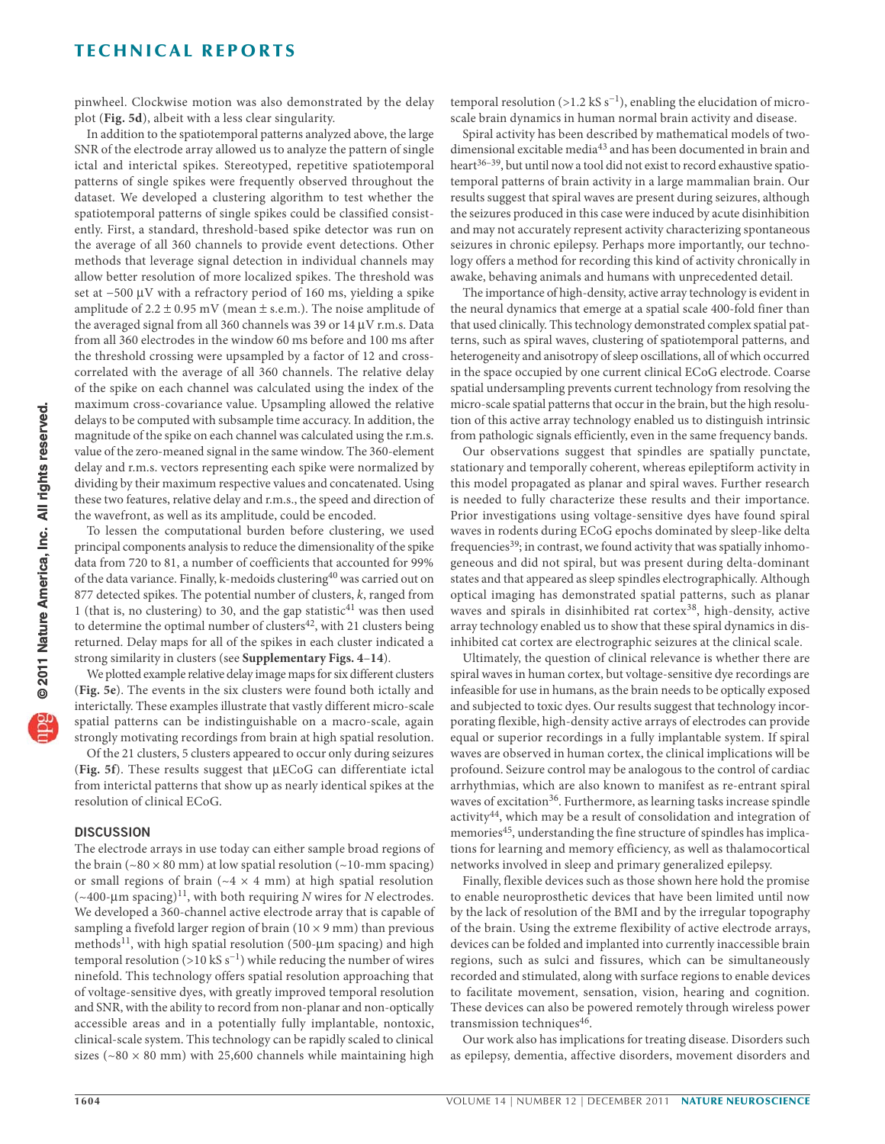pinwheel. Clockwise motion was also demonstrated by the delay plot (**Fig. 5d**), albeit with a less clear singularity.

In addition to the spatiotemporal patterns analyzed above, the large SNR of the electrode array allowed us to analyze the pattern of single ictal and interictal spikes. Stereotyped, repetitive spatiotemporal patterns of single spikes were frequently observed throughout the dataset. We developed a clustering algorithm to test whether the spatiotemporal patterns of single spikes could be classified consistently. First, a standard, threshold-based spike detector was run on the average of all 360 channels to provide event detections. Other methods that leverage signal detection in individual channels may allow better resolution of more localized spikes. The threshold was set at −500 µV with a refractory period of 160 ms, yielding a spike amplitude of  $2.2 \pm 0.95$  mV (mean  $\pm$  s.e.m.). The noise amplitude of the averaged signal from all 360 channels was 39 or  $14 \mu V$  r.m.s. Data from all 360 electrodes in the window 60 ms before and 100 ms after the threshold crossing were upsampled by a factor of 12 and crosscorrelated with the average of all 360 channels. The relative delay of the spike on each channel was calculated using the index of the maximum cross-covariance value. Upsampling allowed the relative delays to be computed with subsample time accuracy. In addition, the magnitude of the spike on each channel was calculated using the r.m.s. value of the zero-meaned signal in the same window. The 360-element delay and r.m.s. vectors representing each spike were normalized by dividing by their maximum respective values and concatenated. Using these two features, relative delay and r.m.s., the speed and direction of the wavefront, as well as its amplitude, could be encoded.

To lessen the computational burden before clustering, we used principal components analysis to reduce the dimensionality of the spike data from 720 to 81, a number of coefficients that accounted for 99% of the data variance. Finally, k-medoids clustering<sup>40</sup> was carried out on 877 detected spikes. The potential number of clusters,  $k$ , ranged from 1 (that is, no clustering) to 30, and the gap statistic<sup>41</sup> was then used to determine the optimal number of clusters<sup>42</sup>, with 21 clusters being returned. Delay maps for all of the spikes in each cluster indicated a strong similarity in clusters (see **Supplementary Figs. 4**–**14**).

We plotted example relative delay image maps for six different clusters (**Fig. 5e**). The events in the six clusters were found both ictally and interictally. These examples illustrate that vastly different micro-scale spatial patterns can be indistinguishable on a macro-scale, again strongly motivating recordings from brain at high spatial resolution.

Of the 21 clusters, 5 clusters appeared to occur only during seizures (Fig. 5f). These results suggest that  $\mu ECoG$  can differentiate ictal from interictal patterns that show up as nearly identical spikes at the resolution of clinical ECoG.

### **DISCUSSION**

The electrode arrays in use today can either sample broad regions of the brain ( $\sim$ 80  $\times$  80 mm) at low spatial resolution ( $\sim$ 10-mm spacing) or small regions of brain ( $\sim$ 4  $\times$  4 mm) at high spatial resolution  $(\sim 400$ -µm spacing)<sup>11</sup>, with both requiring N wires for N electrodes. We developed a 360-channel active electrode array that is capable of sampling a fivefold larger region of brain  $(10 \times 9 \text{ mm})$  than previous methods<sup>11</sup>, with high spatial resolution (500- $\mu$ m spacing) and high temporal resolution (>10 kS s<sup>-1</sup>) while reducing the number of wires ninefold. This technology offers spatial resolution approaching that of voltage-sensitive dyes, with greatly improved temporal resolution and SNR, with the ability to record from non-planar and non-optically accessible areas and in a potentially fully implantable, nontoxic, clinical-scale system. This technology can be rapidly scaled to clinical sizes ( $\sim$ 80 × 80 mm) with 25,600 channels while maintaining high

temporal resolution (>1.2 kS s<sup>-1</sup>), enabling the elucidation of microscale brain dynamics in human normal brain activity and disease.

Spiral activity has been described by mathematical models of twodimensional excitable media<sup>43</sup> and has been documented in brain and heart<sup>36-39</sup>, but until now a tool did not exist to record exhaustive spatiotemporal patterns of brain activity in a large mammalian brain. Our results suggest that spiral waves are present during seizures, although the seizures produced in this case were induced by acute disinhibition and may not accurately represent activity characterizing spontaneous seizures in chronic epilepsy. Perhaps more importantly, our technology offers a method for recording this kind of activity chronically in awake, behaving animals and humans with unprecedented detail.

The importance of high-density, active array technology is evident in the neural dynamics that emerge at a spatial scale 400-fold finer than that used clinically. This technology demonstrated complex spatial patterns, such as spiral waves, clustering of spatiotemporal patterns, and heterogeneity and anisotropy of sleep oscillations, all of which occurred in the space occupied by one current clinical ECoG electrode. Coarse spatial undersampling prevents current technology from resolving the micro-scale spatial patterns that occur in the brain, but the high resolution of this active array technology enabled us to distinguish intrinsic from pathologic signals efficiently, even in the same frequency bands.

Our observations suggest that spindles are spatially punctate, stationary and temporally coherent, whereas epileptiform activity in this model propagated as planar and spiral waves. Further research is needed to fully characterize these results and their importance. Prior investigations using voltage-sensitive dyes have found spiral waves in rodents during ECoG epochs dominated by sleep-like delta frequencies<sup>39</sup>; in contrast, we found activity that was spatially inhomogeneous and did not spiral, but was present during delta-dominant states and that appeared as sleep spindles electrographically. Although optical imaging has demonstrated spatial patterns, such as planar waves and spirals in disinhibited rat cortex<sup>38</sup>, high-density, active array technology enabled us to show that these spiral dynamics in disinhibited cat cortex are electrographic seizures at the clinical scale.

Ultimately, the question of clinical relevance is whether there are spiral waves in human cortex, but voltage-sensitive dye recordings are infeasible for use in humans, as the brain needs to be optically exposed and subjected to toxic dyes. Our results suggest that technology incorporating flexible, high-density active arrays of electrodes can provide equal or superior recordings in a fully implantable system. If spiral waves are observed in human cortex, the clinical implications will be profound. Seizure control may be analogous to the control of cardiac arrhythmias, which are also known to manifest as re-entrant spiral waves of excitation<sup>36</sup>. Furthermore, as learning tasks increase spindle activity44, which may be a result of consolidation and integration of memories<sup>45</sup>, understanding the fine structure of spindles has implications for learning and memory efficiency, as well as thalamocortical networks involved in sleep and primary generalized epilepsy.

Finally, flexible devices such as those shown here hold the promise to enable neuroprosthetic devices that have been limited until now by the lack of resolution of the BMI and by the irregular topography of the brain. Using the extreme flexibility of active electrode arrays, devices can be folded and implanted into currently inaccessible brain regions, such as sulci and fissures, which can be simultaneously recorded and stimulated, along with surface regions to enable devices to facilitate movement, sensation, vision, hearing and cognition. These devices can also be powered remotely through wireless power transmission techniques<sup>46</sup>.

Our work also has implications for treating disease. Disorders such as epilepsy, dementia, affective disorders, movement disorders and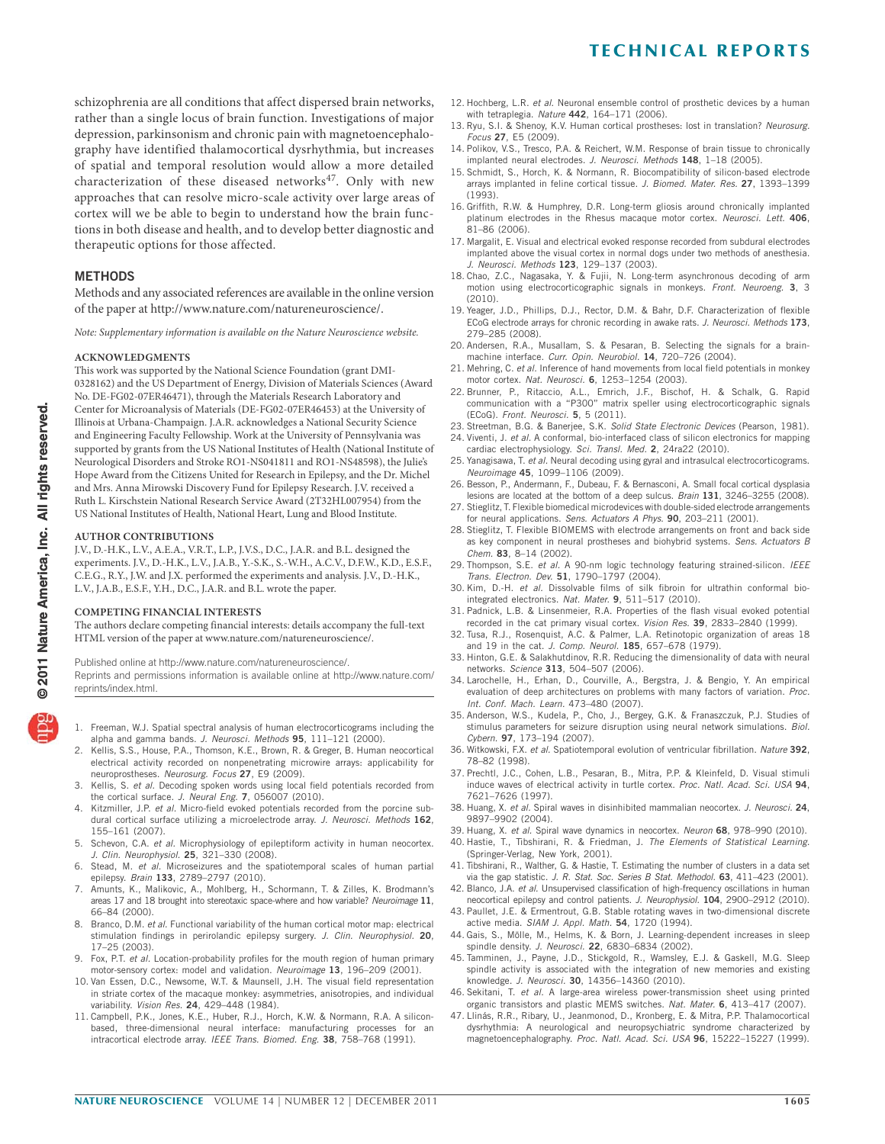schizophrenia are all conditions that affect dispersed brain networks, rather than a single locus of brain function. Investigations of major depression, parkinsonism and chronic pain with magnetoencephalography have identified thalamocortical dysrhythmia, but increases of spatial and temporal resolution would allow a more detailed characterization of these diseased networks<sup>47</sup>. Only with new approaches that can resolve micro-scale activity over large areas of cortex will we be able to begin to understand how the brain functions in both disease and health, and to develop better diagnostic and therapeutic options for those affected.

### **METHODS**

Methods and any associated references are available in the online version of the paper at http://www.nature.com/natureneuroscience/.

Note: Supplementary information is available on the Nature Neuroscience website.

#### **ACKNOWLEDGMENTS**

This work was supported by the National Science Foundation (grant DMI-0328162) and the US Department of Energy, Division of Materials Sciences (Award No. DE-FG02-07ER46471), through the Materials Research Laboratory and Center for Microanalysis of Materials (DE-FG02-07ER46453) at the University of Illinois at Urbana-Champaign. J.A.R. acknowledges a National Security Science and Engineering Faculty Fellowship. Work at the University of Pennsylvania was supported by grants from the US National Institutes of Health (National Institute of Neurological Disorders and Stroke RO1-NS041811 and RO1-NS48598), the Julie's Hope Award from the Citizens United for Research in Epilepsy, and the Dr. Michel and Mrs. Anna Mirowski Discovery Fund for Epilepsy Research. J.V. received a Ruth L. Kirschstein National Research Service Award (2T32HL007954) from the US National Institutes of Health, National Heart, Lung and Blood Institute.

#### **AUTHOR CONTRIBUTIONS**

J.V., D.-H.K., L.V., A.E.A., V.R.T., L.P., J.V.S., D.C., J.A.R. and B.L. designed the experiments. J.V., D.-H.K., L.V., J.A.B., Y.-S.K., S.-W.H., A.C.V., D.F.W., K.D., E.S.F., C.E.G., R.Y., J.W. and J.X. performed the experiments and analysis. J.V., D.-H.K., L.V., J.A.B., E.S.F., Y.H., D.C., J.A.R. and B.L. wrote the paper.

#### **COMPETING FINANCIAL INTERESTS**

The authors declare competing financial interests: details accompany the full-text HTML version of the paper at www.nature.com/natureneuroscience/.

Published online at http://www.nature.com/natureneuroscience/.

Reprints and permissions information is available online at http://www.nature.com/ reprints/index.html.

- 1. Freeman, W.J. Spatial spectral analysis of human electrocorticograms including the alpha and gamma bands. J. Neurosci. Methods **95**, 111–121 (2000).
- 2. Kellis, S.S., House, P.A., Thomson, K.E., Brown, R. & Greger, B. Human neocortical electrical activity recorded on nonpenetrating microwire arrays: applicability for neuroprostheses. Neurosurg. Focus **27**, E9 (2009).
- Kellis, S. et al. Decoding spoken words using local field potentials recorded from the cortical surface. J. Neural Eng. **7**, 056007 (2010).
- 4. Kitzmiller, J.P. et al. Micro-field evoked potentials recorded from the porcine subdural cortical surface utilizing a microelectrode array. J. Neurosci. Methods **162**, 155–161 (2007).
- 5. Schevon, C.A. et al. Microphysiology of epileptiform activity in human neocortex. J. Clin. Neurophysiol. **25**, 321–330 (2008).
- Stead, M. et al. Microseizures and the spatiotemporal scales of human partial epilepsy. Brain **133**, 2789–2797 (2010).
- 7. Amunts, K., Malikovic, A., Mohlberg, H., Schormann, T. & Zilles, K. Brodmann's areas 17 and 18 brought into stereotaxic space-where and how variable? Neuroimage **11**, 66–84 (2000).
- 8. Branco, D.M. et al. Functional variability of the human cortical motor map: electrical stimulation findings in perirolandic epilepsy surgery. J. Clin. Neurophysiol. **20**, 17–25 (2003).
- 9. Fox, P.T. et al. Location-probability profiles for the mouth region of human primary motor-sensory cortex: model and validation. Neuroimage **13**, 196–209 (2001).
- 10. Van Essen, D.C., Newsome, W.T. & Maunsell, J.H. The visual field representation in striate cortex of the macaque monkey: asymmetries, anisotropies, and individual variability. Vision Res. **24**, 429–448 (1984).
- 11. Campbell, P.K., Jones, K.E., Huber, R.J., Horch, K.W. & Normann, R.A. A siliconbased, three-dimensional neural interface: manufacturing processes for an intracortical electrode array. IEEE Trans. Biomed. Eng. **38**, 758–768 (1991).
- **TECHNICAL REPORTS**
- 12. Hochberg, L.R. et al. Neuronal ensemble control of prosthetic devices by a human with tetraplegia. Nature **442**, 164–171 (2006).
- 13. Ryu, S.I. & Shenoy, K.V. Human cortical prostheses: lost in translation? Neurosurg. Focus **27**, E5 (2009).
- 14. Polikov, V.S., Tresco, P.A. & Reichert, W.M. Response of brain tissue to chronically implanted neural electrodes. J. Neurosci. Methods **148**, 1–18 (2005).
- 15. Schmidt, S., Horch, K. & Normann, R. Biocompatibility of silicon-based electrode arrays implanted in feline cortical tissue. J. Biomed. Mater. Res. **27**, 1393–1399 (1993).
- 16. Griffith, R.W. & Humphrey, D.R. Long-term gliosis around chronically implanted platinum electrodes in the Rhesus macaque motor cortex. Neurosci. Lett. **406**, 81–86 (2006).
- 17. Margalit, E. Visual and electrical evoked response recorded from subdural electrodes implanted above the visual cortex in normal dogs under two methods of anesthesia. J. Neurosci. Methods **123**, 129–137 (2003).
- 18. Chao, Z.C., Nagasaka, Y. & Fujii, N. Long-term asynchronous decoding of arm motion using electrocorticographic signals in monkeys. Front. Neuroeng. **3**, 3  $(2010)$
- 19. Yeager, J.D., Phillips, D.J., Rector, D.M. & Bahr, D.F. Characterization of flexible ECoG electrode arrays for chronic recording in awake rats. J. Neurosci. Methods **173**, 279–285 (2008).
- 20. Andersen, R.A., Musallam, S. & Pesaran, B. Selecting the signals for a brainmachine interface. Curr. Opin. Neurobiol. **14**, 720–726 (2004).
- 21. Mehring, C. et al. Inference of hand movements from local field potentials in monkey motor cortex. Nat. Neurosci. **6**, 1253–1254 (2003).
- 22. Brunner, P., Ritaccio, A.L., Emrich, J.F., Bischof, H. & Schalk, G. Rapid communication with a "P300" matrix speller using electrocorticographic signals (ECoG). Front. Neurosci. **5**, 5 (2011).
- 23. Streetman, B.G. & Banerjee, S.K. Solid State Electronic Devices (Pearson, 1981). 24. Viventi, J. et al. A conformal, bio-interfaced class of silicon electronics for mapping cardiac electrophysiology. Sci. Transl. Med. **2**, 24ra22 (2010).
- 25. Yanagisawa, T. et al. Neural decoding using gyral and intrasulcal electrocorticograms. Neuroimage **45**, 1099–1106 (2009).
- 26. Besson, P., Andermann, F., Dubeau, F. & Bernasconi, A. Small focal cortical dysplasia lesions are located at the bottom of a deep sulcus. Brain **131**, 3246–3255 (2008).
- 27. Stieglitz, T. Flexible biomedical microdevices with double-sided electrode arrangements for neural applications. Sens. Actuators A Phys. **90**, 203–211 (2001).
- 28. Stieglitz, T. Flexible BIOMEMS with electrode arrangements on front and back side as key component in neural prostheses and biohybrid systems. Sens. Actuators B Chem. **83**, 8–14 (2002).
- 29. Thompson, S.E. et al. A 90-nm logic technology featuring strained-silicon. IEEE Trans. Electron. Dev. **51**, 1790–1797 (2004).
- 30. Kim, D.-H. et al. Dissolvable films of silk fibroin for ultrathin conformal biointegrated electronics. Nat. Mater. **9**, 511–517 (2010).
- 31. Padnick, L.B. & Linsenmeier, R.A. Properties of the flash visual evoked potential recorded in the cat primary visual cortex. Vision Res. **39**, 2833–2840 (1999).
- 32. Tusa, R.J., Rosenquist, A.C. & Palmer, L.A. Retinotopic organization of areas 18 and 19 in the cat. J. Comp. Neurol. **185**, 657–678 (1979).
- 33. Hinton, G.E. & Salakhutdinov, R.R. Reducing the dimensionality of data with neural networks. Science **313**, 504–507 (2006).
- 34. Larochelle, H., Erhan, D., Courville, A., Bergstra, J. & Bengio, Y. An empirical evaluation of deep architectures on problems with many factors of variation. Proc. Int. Conf. Mach. Learn. 473–480 (2007).
- 35. Anderson, W.S., Kudela, P., Cho, J., Bergey, G.K. & Franaszczuk, P.J. Studies of stimulus parameters for seizure disruption using neural network simulations. Biol. Cybern. **97**, 173–194 (2007).
- 36. Witkowski, F.X. et al. Spatiotemporal evolution of ventricular fibrillation. Nature **392**, 78–82 (1998).
- 37. Prechtl, J.C., Cohen, L.B., Pesaran, B., Mitra, P.P. & Kleinfeld, D. Visual stimuli induce waves of electrical activity in turtle cortex. Proc. Natl. Acad. Sci. USA **94**, 7621–7626 (1997).
- 38. Huang, X. et al. Spiral waves in disinhibited mammalian neocortex. J. Neurosci. **24**, 9897–9902 (2004).
- 39. Huang, X. et al. Spiral wave dynamics in neocortex. Neuron **68**, 978–990 (2010). 40. Hastie, T., Tibshirani, R. & Friedman, J. The Elements of Statistical Learning. (Springer-Verlag, New York, 2001).
- 41. Tibshirani, R., Walther, G. & Hastie, T. Estimating the number of clusters in a data set via the gap statistic. J. R. Stat. Soc. Series B Stat. Methodol. **63**, 411–423 (2001).
- 42. Blanco, J.A. et al. Unsupervised classification of high-frequency oscillations in human neocortical epilepsy and control patients. J. Neurophysiol. **104**, 2900–2912 (2010).
- 43. Paullet, J.E. & Ermentrout, G.B. Stable rotating waves in two-dimensional discrete active media. SIAM J. Appl. Math. **54**, 1720 (1994).
- 44. Gais, S., Mölle, M., Helms, K. & Born, J. Learning-dependent increases in sleep spindle density. J. Neurosci. **22**, 6830–6834 (2002).
- 45. Tamminen, J., Payne, J.D., Stickgold, R., Wamsley, E.J. & Gaskell, M.G. Sleep spindle activity is associated with the integration of new memories and existing knowledge. J. Neurosci. **30**, 14356–14360 (2010).
- 46. Sekitani, T. et al. A large-area wireless power-transmission sheet using printed organic transistors and plastic MEMS switches. Nat. Mater. **6**, 413–417 (2007).
- 47. Llinás, R.R., Ribary, U., Jeanmonod, D., Kronberg, E. & Mitra, P.P. Thalamocortical dysrhythmia: A neurological and neuropsychiatric syndrome characterized by magnetoencephalography. Proc. Natl. Acad. Sci. USA **96**, 15222–15227 (1999).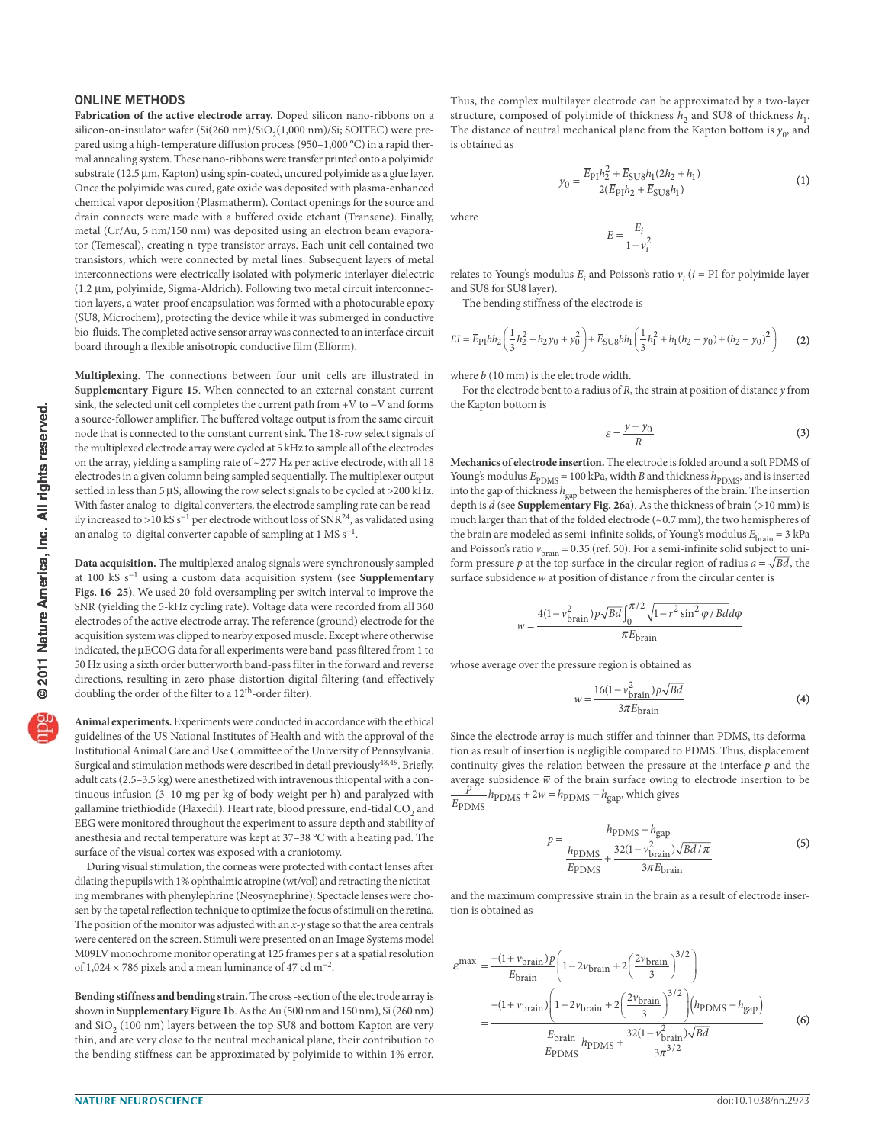## **ONLINE METHODS**

**Fabrication of the active electrode array.** Doped silicon nano-ribbons on a silicon-on-insulator wafer  $(Si(260 \text{ nm})/SiO<sub>2</sub>(1,000 \text{ nm})/Si$ ; SOITEC) were prepared using a high-temperature diffusion process (950–1,000 °C) in a rapid thermal annealing system. These nano-ribbons were transfer printed onto a polyimide substrate (12.5 µm, Kapton) using spin-coated, uncured polyimide as a glue layer. Once the polyimide was cured, gate oxide was deposited with plasma-enhanced chemical vapor deposition (Plasmatherm). Contact openings for the source and drain connects were made with a buffered oxide etchant (Transene). Finally, metal (Cr/Au, 5 nm/150 nm) was deposited using an electron beam evaporator (Temescal), creating n-type transistor arrays. Each unit cell contained two transistors, which were connected by metal lines. Subsequent layers of metal interconnections were electrically isolated with polymeric interlayer dielectric  $(1.2 \mu m,$  polyimide, Sigma-Aldrich). Following two metal circuit interconnection layers, a water-proof encapsulation was formed with a photocurable epoxy (SU8, Microchem), protecting the device while it was submerged in conductive bio-fluids. The completed active sensor array was connected to an interface circuit board through a flexible anisotropic conductive film (Elform).

**Multiplexing.** The connections between four unit cells are illustrated in **Supplementary Figure 15**. When connected to an external constant current sink, the selected unit cell completes the current path from +V to −V and forms a source-follower amplifier. The buffered voltage output is from the same circuit node that is connected to the constant current sink. The 18-row select signals of the multiplexed electrode array were cycled at 5 kHz to sample all of the electrodes on the array, yielding a sampling rate of ~277 Hz per active electrode, with all 18 electrodes in a given column being sampled sequentially. The multiplexer output settled in less than 5  $\mu$ S, allowing the row select signals to be cycled at >200 kHz. With faster analog-to-digital converters, the electrode sampling rate can be readily increased to >10 kS s<sup>-1</sup> per electrode without loss of SNR<sup>24</sup>, as validated using an analog-to-digital converter capable of sampling at 1 MS  $s^{-1}$ .

**Data acquisition.** The multiplexed analog signals were synchronously sampled at 100 kS s−1 using a custom data acquisition system (see **Supplementary Figs. 16**–**25**). We used 20-fold oversampling per switch interval to improve the SNR (yielding the 5-kHz cycling rate). Voltage data were recorded from all 360 electrodes of the active electrode array. The reference (ground) electrode for the acquisition system was clipped to nearby exposed muscle. Except where otherwise indicated, the µECOG data for all experiments were band-pass filtered from 1 to 50 Hz using a sixth order butterworth band-pass filter in the forward and reverse directions, resulting in zero-phase distortion digital filtering (and effectively doubling the order of the filter to a 12<sup>th</sup>-order filter).

**Animal experiments.** Experiments were conducted in accordance with the ethical guidelines of the US National Institutes of Health and with the approval of the Institutional Animal Care and Use Committee of the University of Pennsylvania. Surgical and stimulation methods were described in detail previously<sup>48,49</sup>. Briefly, adult cats (2.5–3.5 kg) were anesthetized with intravenous thiopental with a continuous infusion (3–10 mg per kg of body weight per h) and paralyzed with gallamine triethiodide (Flaxedil). Heart rate, blood pressure, end-tidal CO<sub>2</sub> and EEG were monitored throughout the experiment to assure depth and stability of anesthesia and rectal temperature was kept at 37–38 °C with a heating pad. The surface of the visual cortex was exposed with a craniotomy.

During visual stimulation, the corneas were protected with contact lenses after dilating the pupils with 1% ophthalmic atropine (wt/vol) and retracting the nictitating membranes with phenylephrine (Neosynephrine). Spectacle lenses were chosen by the tapetal reflection technique to optimize the focus of stimuli on the retina. The position of the monitor was adjusted with an  $x$ -y stage so that the area centrals were centered on the screen. Stimuli were presented on an Image Systems model M09LV monochrome monitor operating at 125 frames per s at a spatial resolution of 1,024 × 786 pixels and a mean luminance of 47 cd m−2.

**Bending stiffness and bending strain.** The cross -section of the electrode array is shown in **Supplementary Figure 1b**. As the Au (500 nm and 150 nm), Si (260 nm) and  $SiO<sub>2</sub>$  (100 nm) layers between the top SU8 and bottom Kapton are very thin, and are very close to the neutral mechanical plane, their contribution to the bending stiffness can be approximated by polyimide to within 1% error. Thus, the complex multilayer electrode can be approximated by a two-layer structure, composed of polyimide of thickness  $h_2$  and SU8 of thickness  $h_1$ . The distance of neutral mechanical plane from the Kapton bottom is  $y_0$ , and is obtained as

$$
y_0 = \frac{\overline{E}_{\rm P1}h_2^2 + \overline{E}_{\rm SU8}h_1(2h_2 + h_1)}{2(\overline{E}_{\rm P1}h_2 + \overline{E}_{\rm SU8}h_1)}
$$
(1)

where

$$
\overline{E} = \frac{E_i}{1 - v_i^2}
$$

relates to Young's modulus  $E_i$  and Poisson's ratio  $v_i$  ( $i = PI$  for polyimide layer and SU8 for SU8 layer).

The bending stiffness of the electrode is

$$
EI = \overline{E}_{\text{PI}}bh_2\left(\frac{1}{3}h_2^2 - h_2y_0 + y_0^2\right) + \overline{E}_{\text{SUS}}bh_1\left(\frac{1}{3}h_1^2 + h_1(h_2 - y_0) + (h_2 - y_0)^2\right)
$$
 (2)

where b (10 mm) is the electrode width.

For the electrode bent to a radius of  $R$ , the strain at position of distance  $\gamma$  from the Kapton bottom is

$$
\varepsilon = \frac{y - y_0}{R} \tag{3}
$$

**Mechanics of electrode insertion.** The electrode is folded around a soft PDMS of Young's modulus  $E_{\text{PDMS}} = 100$  kPa, width B and thickness  $h_{\text{PDMS}}$ , and is inserted into the gap of thickness  $h_\mathrm{gap}$  between the hemispheres of the brain. The insertion depth is d (see **Supplementary Fig. 26a**). As the thickness of brain (>10 mm) is much larger than that of the folded electrode (~0.7 mm), the two hemispheres of the brain are modeled as semi-infinite solids, of Young's modulus  $E<sub>brain</sub> = 3$  kPa and Poisson's ratio  $v_{\text{brain}} = 0.35$  (ref. 50). For a semi-infinite solid subject to uniform pressure p at the top surface in the circular region of radius  $a = \sqrt{Bd}$ , the surface subsidence  $w$  at position of distance  $r$  from the circular center is

$$
w = \frac{4(1 - v_{\text{brain}}^2)p\sqrt{Bd} \int_0^{\pi/2} \sqrt{1 - r^2 \sin^2 \varphi / Bd}d\varphi}{\pi E_{\text{brain}}}
$$

whose average over the pressure region is obtained as

$$
\overline{w} = \frac{16(1 - v_{\text{brain}}^2)p\sqrt{Bd}}{3\pi E_{\text{brain}}}
$$
(4)

Since the electrode array is much stiffer and thinner than PDMS, its deformation as result of insertion is negligible compared to PDMS. Thus, displacement continuity gives the relation between the pressure at the interface  $p$  and the average subsidence  $\overline{w}$  of the brain surface owing to electrode insertion to be  $E_{\rm PDMS}$  $\frac{p}{\text{PDMS}} h_{\text{PDMS}} + 2\overline{w} = h_{\text{PDMS}} - h_{\text{gap}}$ , which gives

$$
p = \frac{h_{\text{PDMS}} - h_{\text{gap}}}{\frac{h_{\text{PDMS}}}{E_{\text{PDMS}}} + \frac{32(1 - v_{\text{brain}}^2) \sqrt{B d / \pi}}{3 \pi E_{\text{brain}}}}
$$
(5)

and the maximum compressive strain in the brain as a result of electrode insertion is obtained as

$$
\varepsilon^{\max} = \frac{-(1 + v_{\text{brain}})p}{E_{\text{brain}}}\left(1 - 2v_{\text{brain}} + 2\left(\frac{2v_{\text{brain}}}{3}\right)^{3/2}\right)
$$

$$
= \frac{-(1 + v_{\text{brain}})\left(1 - 2v_{\text{brain}} + 2\left(\frac{2v_{\text{brain}}}{3}\right)^{3/2}\right)(h_{\text{PDMS}} - h_{\text{gap}})}{E_{\text{PDMS}}h_{\text{PDMS}} + \frac{32(1 - v_{\text{brain}}^2)\sqrt{Bd}}{3\pi^{3/2}}}
$$
(6)